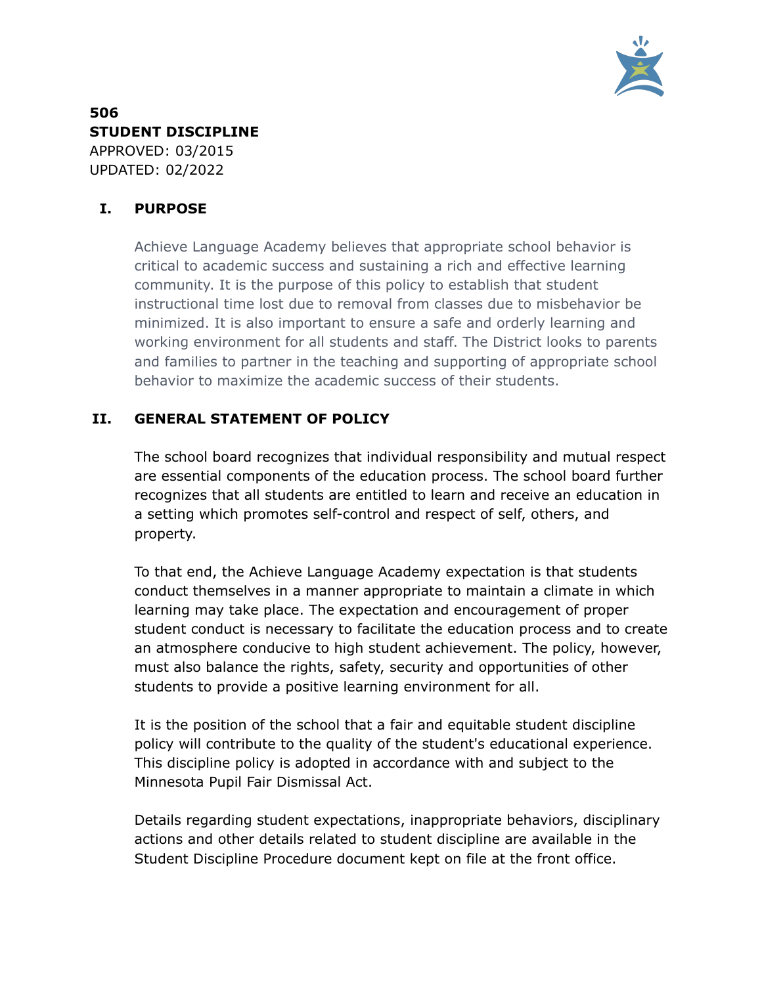

**506 STUDENT DISCIPLINE** APPROVED: 03/2015 UPDATED: 02/2022

# **I. PURPOSE**

Achieve Language Academy believes that appropriate school behavior is critical to academic success and sustaining a rich and effective learning community. It is the purpose of this policy to establish that student instructional time lost due to removal from classes due to misbehavior be minimized. It is also important to ensure a safe and orderly learning and working environment for all students and staff. The District looks to parents and families to partner in the teaching and supporting of appropriate school behavior to maximize the academic success of their students.

# **II. GENERAL STATEMENT OF POLICY**

The school board recognizes that individual responsibility and mutual respect are essential components of the education process. The school board further recognizes that all students are entitled to learn and receive an education in a setting which promotes self-control and respect of self, others, and property.

To that end, the Achieve Language Academy expectation is that students conduct themselves in a manner appropriate to maintain a climate in which learning may take place. The expectation and encouragement of proper student conduct is necessary to facilitate the education process and to create an atmosphere conducive to high student achievement. The policy, however, must also balance the rights, safety, security and opportunities of other students to provide a positive learning environment for all.

It is the position of the school that a fair and equitable student discipline policy will contribute to the quality of the student's educational experience. This discipline policy is adopted in accordance with and subject to the Minnesota Pupil Fair Dismissal Act.

Details regarding student expectations, inappropriate behaviors, disciplinary actions and other details related to student discipline are available in the Student Discipline Procedure document kept on file at the front office.